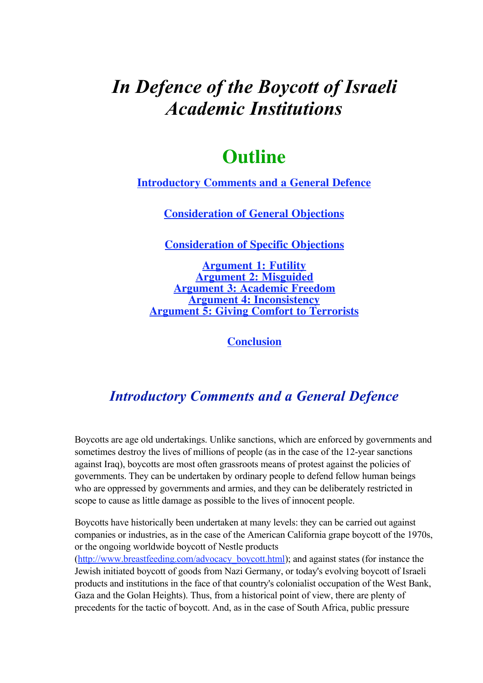# *In Defence of the Boycott of Israeli Academic Institutions*

# **Outline**

**Introductory Comments and a General Defence**

**Consideration of General Objections**

**Consideration of Specific Objections**

**Argument 1: Futility Argument 2: Misguided Argument 3: Academic Freedom Argument 4: Inconsistency Argument 5: Giving Comfort to Terrorists**

**Conclusion**

# *Introductory Comments and a General Defence*

Boycotts are age old undertakings. Unlike sanctions, which are enforced by governments and sometimes destroy the lives of millions of people (as in the case of the 12-year sanctions against Iraq), boycotts are most often grassroots means of protest against the policies of governments. They can be undertaken by ordinary people to defend fellow human beings who are oppressed by governments and armies, and they can be deliberately restricted in scope to cause as little damage as possible to the lives of innocent people.

Boycotts have historically been undertaken at many levels: they can be carried out against companies or industries, as in the case of the American California grape boycott of the 1970s, or the ongoing worldwide boycott of Nestle products

(http://www.breastfeeding.com/advocacy\_boycott.html); and against states (for instance the Jewish initiated boycott of goods from Nazi Germany, or today's evolving boycott of Israeli products and institutions in the face of that country's colonialist occupation of the West Bank, Gaza and the Golan Heights). Thus, from a historical point of view, there are plenty of precedents for the tactic of boycott. And, as in the case of South Africa, public pressure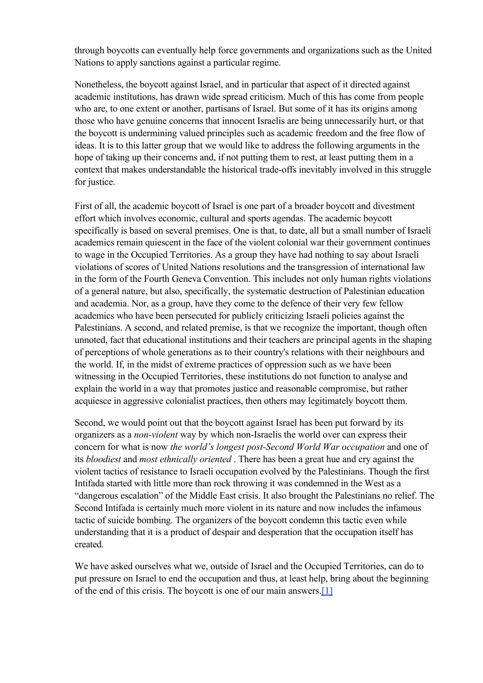through boycotts can eventually help force governments and organizations such as the United Nations to apply sanctions against a particular regime.

Nonetheless, the boycott against Israel, and in particular that aspect of it directed against academic institutions, has drawn wide spread criticism. Much of this has come from people who are, to one extent or another, partisans of Israel. But some of it has its origins among those who have genuine concerns that innocent Israelis are being unnecessarily hurt, or that the boycott is undermining valued principles such as academic freedom and the free flow of ideas. It is to this latter group that we would like to address the following arguments in the hope of taking up their concerns and, if not putting them to rest, at least putting them in a context that makes understandable the historical trade-offs inevitably involved in this struggle for justice.

First of all, the academic boycott of Israel is one part of a broader boycott and divestment effort which involves economic, cultural and sports agendas. The academic boycott specifically is based on several premises. One is that, to date, all but a small number of Israeli academics remain quiescent in the face of the violent colonial war their government continues to wage in the Occupied Territories. As a group they have had nothing to say about Israeli violations of scores of United Nations resolutions and the transgression of international law in the form of the Fourth Geneva Convention. This includes not only human rights violations of a general nature, but also, specifically, the systematic destruction of Palestinian education and academia. Nor, as a group, have they come to the defence of their very few fellow academics who have been persecuted for publicly criticizing Israeli policies against the Palestinians. A second, and related premise, is that we recognize the important, though often unnoted, fact that educational institutions and their teachers are principal agents in the shaping of perceptions of whole generations as to their country's relations with their neighbours and the world. If, in the midst of extreme practices of oppression such as we have been witnessing in the Occupied Territories, these institutions do not function to analyse and explain the world in a way that promotes justice and reasonable compromise, but rather acquiesce in aggressive colonialist practices, then others may legitimately boycott them.

Second, we would point out that the boycott against Israel has been put forward by its organizers as a *non-violent* way by which non-Israelis the world over can express their concern for what is now *the world's longest post-Second World War occupation* and one of its *bloodiest* and *most ethnically oriented* . There has been a great hue and cry against the violent tactics of resistance to Israeli occupation evolved by the Palestinians. Though the first Intifada started with little more than rock throwing it was condemned in the West as a "dangerous escalation" of the Middle East crisis. It also brought the Palestinians no relief. The Second Intifada is certainly much more violent in its nature and now includes the infamous tactic of suicide bombing. The organizers of the boycott condemn this tactic even while understanding that it is a product of despair and desperation that the occupation itself has created.

We have asked ourselves what we, outside of Israel and the Occupied Territories, can do to put pressure on Israel to end the occupation and thus, at least help, bring about the beginning of the end of this crisis. The boycott is one of our main answers.[1]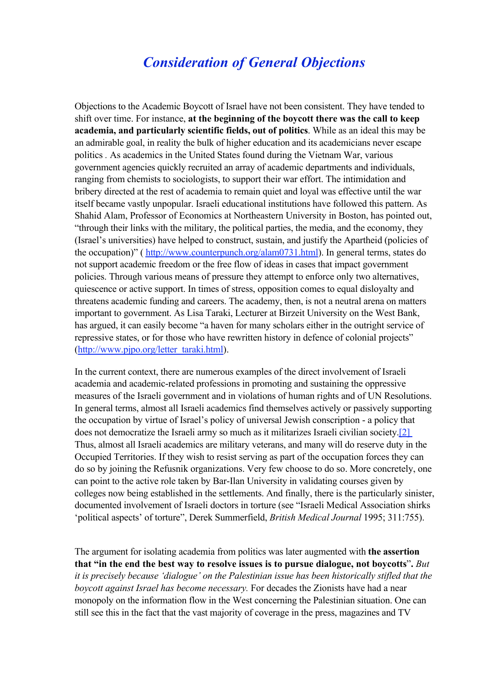### *Consideration of General Objections*

Objections to the Academic Boycott of Israel have not been consistent. They have tended to shift over time. For instance, at the beginning of the boycott there was the call to keep academia, and particularly scientific fields, out of politics. While as an ideal this may be an admirable goal, in reality the bulk of higher education and its academicians never escape politics *.* As academics in the United States found during the Vietnam War, various government agencies quickly recruited an array of academic departments and individuals, ranging from chemists to sociologists, to support their war effort. The intimidation and bribery directed at the rest of academia to remain quiet and loyal was effective until the war itself became vastly unpopular. Israeli educational institutions have followed this pattern. As Shahid Alam, Professor of Economics at Northeastern University in Boston, has pointed out, "through their links with the military, the political parties, the media, and the economy, they (Israel's universities) have helped to construct, sustain, and justify the Apartheid (policies of the occupation)" ( http://www.counterpunch.org/alam0731.html). In general terms, states do not support academic freedom or the free flow of ideas in cases that impact government policies. Through various means of pressure they attempt to enforce only two alternatives, quiescence or active support. In times of stress, opposition comes to equal disloyalty and threatens academic funding and careers. The academy, then, is not a neutral arena on matters important to government. As Lisa Taraki, Lecturer at Birzeit University on the West Bank, has argued, it can easily become "a haven for many scholars either in the outright service of repressive states, or for those who have rewritten history in defence of colonial projects" (http://www.pjpo.org/letter\_taraki.html).

In the current context, there are numerous examples of the direct involvement of Israeli academia and academic-related professions in promoting and sustaining the oppressive measures of the Israeli government and in violations of human rights and of UN Resolutions. In general terms, almost all Israeli academics find themselves actively or passively supporting the occupation by virtue of Israel's policy of universal Jewish conscription - a policy that does not democratize the Israeli army so much as it militarizes Israeli civilian society.[2] Thus, almost all Israeli academics are military veterans, and many will do reserve duty in the Occupied Territories. If they wish to resist serving as part of the occupation forces they can do so by joining the Refusnik organizations. Very few choose to do so. More concretely, one can point to the active role taken by Bar-Ilan University in validating courses given by colleges now being established in the settlements. And finally, there is the particularly sinister, documented involvement of Israeli doctors in torture (see "Israeli Medical Association shirks 'political aspects' of torture", Derek Summerfield, *British Medical Journal* 1995; 311:755).

The argument for isolating academia from politics was later augmented with the assertion that "in the end the best way to resolve issues is to pursue dialogue, not boycotts". *But it is precisely because 'dialogue' on the Palestinian issue has been historically stifled that the boycott against Israel has become necessary.* For decades the Zionists have had a near monopoly on the information flow in the West concerning the Palestinian situation. One can still see this in the fact that the vast majority of coverage in the press, magazines and TV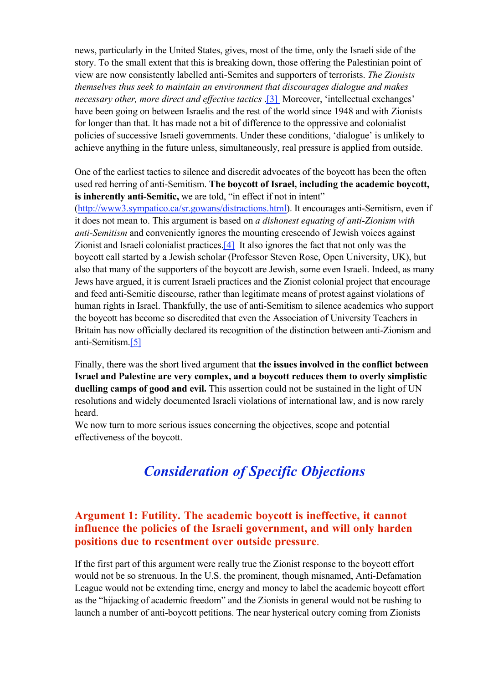news, particularly in the United States, gives, most of the time, only the Israeli side of the story. To the small extent that this is breaking down, those offering the Palestinian point of view are now consistently labelled anti-Semites and supporters of terrorists. *The Zionists themselves thus seek to maintain an environment that discourages dialogue and makes necessary other, more direct and effective tactics* .[3] Moreover, 'intellectual exchanges' have been going on between Israelis and the rest of the world since 1948 and with Zionists for longer than that. It has made not a bit of difference to the oppressive and colonialist policies of successive Israeli governments. Under these conditions, 'dialogue' is unlikely to achieve anything in the future unless, simultaneously, real pressure is applied from outside.

One of the earliest tactics to silence and discredit advocates of the boycott has been the often used red herring of anti-Semitism. The boycott of Israel, including the academic boycott, is inherently anti-Semitic, we are told, "in effect if not in intent"

(http://www3.sympatico.ca/sr.gowans/distractions.html). It encourages anti-Semitism, even if it does not mean to. This argument is based on *a dishonest equating of anti-Zionism with anti-Semitism* and conveniently ignores the mounting crescendo of Jewish voices against Zionist and Israeli colonialist practices.[4] It also ignores the fact that not only was the boycott call started by a Jewish scholar (Professor Steven Rose, Open University, UK), but also that many of the supporters of the boycott are Jewish, some even Israeli. Indeed, as many Jews have argued, it is current Israeli practices and the Zionist colonial project that encourage and feed anti-Semitic discourse, rather than legitimate means of protest against violations of human rights in Israel. Thankfully, the use of anti-Semitism to silence academics who support the boycott has become so discredited that even the Association of University Teachers in Britain has now officially declared its recognition of the distinction between anti-Zionism and anti-Semitism.[5]

Finally, there was the short lived argument that the issues involved in the conflict between Israel and Palestine are very complex, and a boycott reduces them to overly simplistic duelling camps of good and evil. This assertion could not be sustained in the light of UN resolutions and widely documented Israeli violations of international law, and is now rarely heard.

We now turn to more serious issues concerning the objectives, scope and potential effectiveness of the boycott.

## *Consideration of Specific Objections*

#### Argument 1: Futility. The academic boycott is ineffective, it cannot influence the policies of the Israeli government, and will only harden positions due to resentment over outside pressure.

If the first part of this argument were really true the Zionist response to the boycott effort would not be so strenuous. In the U.S. the prominent, though misnamed, Anti-Defamation League would not be extending time, energy and money to label the academic boycott effort as the "hijacking of academic freedom" and the Zionists in general would not be rushing to launch a number of anti-boycott petitions. The near hysterical outcry coming from Zionists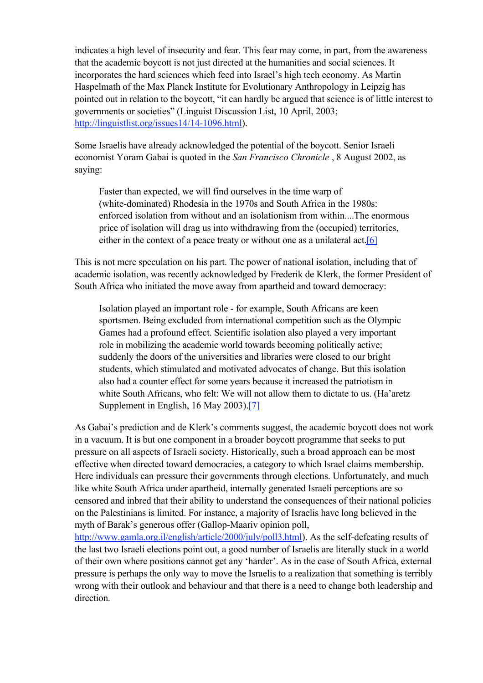indicates a high level of insecurity and fear. This fear may come, in part, from the awareness that the academic boycott is not just directed at the humanities and social sciences. It incorporates the hard sciences which feed into Israel's high tech economy. As Martin Haspelmath of the Max Planck Institute for Evolutionary Anthropology in Leipzig has pointed out in relation to the boycott, "it can hardly be argued that science is of little interest to governments or societies" (Linguist Discussion List, 10 April, 2003; http://linguistlist.org/issues14/14-1096.html).

Some Israelis have already acknowledged the potential of the boycott. Senior Israeli economist Yoram Gabai is quoted in the *San Francisco Chronicle* , 8 August 2002, as saying:

Faster than expected, we will find ourselves in the time warp of (white-dominated) Rhodesia in the 1970s and South Africa in the 1980s: enforced isolation from without and an isolationism from within....The enormous price of isolation will drag us into withdrawing from the (occupied) territories, either in the context of a peace treaty or without one as a unilateral act.<sup>[6]</sup>

This is not mere speculation on his part. The power of national isolation, including that of academic isolation, was recently acknowledged by Frederik de Klerk, the former President of South Africa who initiated the move away from apartheid and toward democracy:

Isolation played an important role - for example, South Africans are keen sportsmen. Being excluded from international competition such as the Olympic Games had a profound effect. Scientific isolation also played a very important role in mobilizing the academic world towards becoming politically active; suddenly the doors of the universities and libraries were closed to our bright students, which stimulated and motivated advocates of change. But this isolation also had a counter effect for some years because it increased the patriotism in white South Africans, who felt: We will not allow them to dictate to us. (Ha'aretz Supplement in English, 16 May 2003).[7]

As Gabai's prediction and de Klerk's comments suggest, the academic boycott does not work in a vacuum. It is but one component in a broader boycott programme that seeks to put pressure on all aspects of Israeli society. Historically, such a broad approach can be most effective when directed toward democracies, a category to which Israel claims membership. Here individuals can pressure their governments through elections. Unfortunately, and much like white South Africa under apartheid, internally generated Israeli perceptions are so censored and inbred that their ability to understand the consequences of their national policies on the Palestinians is limited. For instance, a majority of Israelis have long believed in the myth of Barak's generous offer (Gallop-Maariv opinion poll,

http://www.gamla.org.il/english/article/2000/july/poll3.html). As the self-defeating results of the last two Israeli elections point out, a good number of Israelis are literally stuck in a world of their own where positions cannot get any 'harder'. As in the case of South Africa, external pressure is perhaps the only way to move the Israelis to a realization that something is terribly wrong with their outlook and behaviour and that there is a need to change both leadership and direction.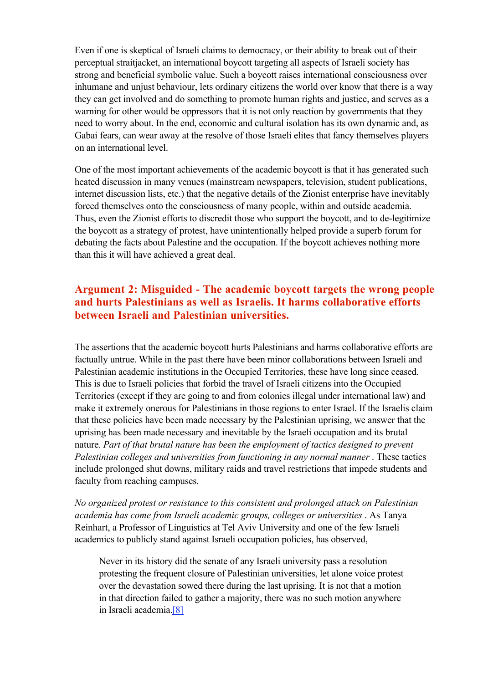Even if one is skeptical of Israeli claims to democracy, or their ability to break out of their perceptual straitjacket, an international boycott targeting all aspects of Israeli society has strong and beneficial symbolic value. Such a boycott raises international consciousness over inhumane and unjust behaviour, lets ordinary citizens the world over know that there is a way they can get involved and do something to promote human rights and justice, and serves as a warning for other would be oppressors that it is not only reaction by governments that they need to worry about. In the end, economic and cultural isolation has its own dynamic and, as Gabai fears, can wear away at the resolve of those Israeli elites that fancy themselves players on an international level.

One of the most important achievements of the academic boycott is that it has generated such heated discussion in many venues (mainstream newspapers, television, student publications, internet discussion lists, etc.) that the negative details of the Zionist enterprise have inevitably forced themselves onto the consciousness of many people, within and outside academia. Thus, even the Zionist efforts to discredit those who support the boycott, and to de-legitimize the boycott as a strategy of protest, have unintentionally helped provide a superb forum for debating the facts about Palestine and the occupation. If the boycott achieves nothing more than this it will have achieved a great deal.

#### Argument 2: Misguided - The academic boycott targets the wrong people and hurts Palestinians as well as Israelis. It harms collaborative efforts between Israeli and Palestinian universities.

The assertions that the academic boycott hurts Palestinians and harms collaborative efforts are factually untrue. While in the past there have been minor collaborations between Israeli and Palestinian academic institutions in the Occupied Territories, these have long since ceased. This is due to Israeli policies that forbid the travel of Israeli citizens into the Occupied Territories (except if they are going to and from colonies illegal under international law) and make it extremely onerous for Palestinians in those regions to enter Israel. If the Israelis claim that these policies have been made necessary by the Palestinian uprising, we answer that the uprising has been made necessary and inevitable by the Israeli occupation and its brutal nature. *Part of that brutal nature has been the employment of tactics designed to prevent Palestinian colleges and universities from functioning in any normal manner*. These tactics include prolonged shut downs, military raids and travel restrictions that impede students and faculty from reaching campuses.

*No organized protest or resistance to this consistent and prolonged attack on Palestinian academia has come from Israeli academic groups, colleges or universities* . As Tanya Reinhart, a Professor of Linguistics at Tel Aviv University and one of the few Israeli academics to publicly stand against Israeli occupation policies, has observed,

Never in its history did the senate of any Israeli university pass a resolution protesting the frequent closure of Palestinian universities, let alone voice protest over the devastation sowed there during the last uprising. It is not that a motion in that direction failed to gather a majority, there was no such motion anywhere in Israeli academia.[8]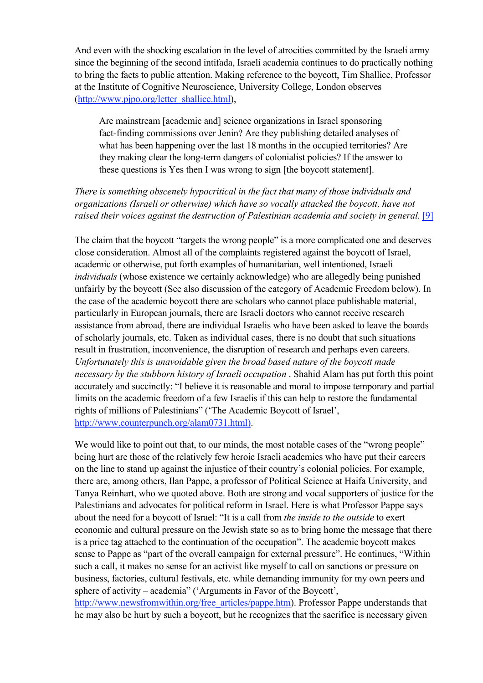And even with the shocking escalation in the level of atrocities committed by the Israeli army since the beginning of the second intifada, Israeli academia continues to do practically nothing to bring the facts to public attention. Making reference to the boycott, Tim Shallice, Professor at the Institute of Cognitive Neuroscience, University College, London observes (http://www.pjpo.org/letter\_shallice.html),

Are mainstream [academic and] science organizations in Israel sponsoring fact-finding commissions over Jenin? Are they publishing detailed analyses of what has been happening over the last 18 months in the occupied territories? Are they making clear the long-term dangers of colonialist policies? If the answer to these questions is Yes then I was wrong to sign [the boycott statement].

#### *There is something obscenely hypocritical in the fact that many of those individuals and organizations (Israeli or otherwise) which have so vocally attacked the boycott, have not raised their voices against the destruction of Palestinian academia and society in general.* [9]

The claim that the boycott "targets the wrong people" is a more complicated one and deserves close consideration. Almost all of the complaints registered against the boycott of Israel, academic or otherwise, put forth examples of humanitarian, well intentioned, Israeli *individuals* (whose existence we certainly acknowledge) who are allegedly being punished unfairly by the boycott (See also discussion of the category of Academic Freedom below). In the case of the academic boycott there are scholars who cannot place publishable material, particularly in European journals, there are Israeli doctors who cannot receive research assistance from abroad, there are individual Israelis who have been asked to leave the boards of scholarly journals, etc. Taken as individual cases, there is no doubt that such situations result in frustration, inconvenience, the disruption of research and perhaps even careers. *Unfortunately this is unavoidable given the broad based nature of the boycott made necessary by the stubborn history of Israeli occupation* . Shahid Alam has put forth this point accurately and succinctly: "I believe it is reasonable and moral to impose temporary and partial limits on the academic freedom of a few Israelis if this can help to restore the fundamental rights of millions of Palestinians" ('The Academic Boycott of Israel', http://www.counterpunch.org/alam0731.html).

We would like to point out that, to our minds, the most notable cases of the "wrong people" being hurt are those of the relatively few heroic Israeli academics who have put their careers on the line to stand up against the injustice of their country's colonial policies. For example, there are, among others, Ilan Pappe, a professor of Political Science at Haifa University, and Tanya Reinhart, who we quoted above. Both are strong and vocal supporters of justice for the Palestinians and advocates for political reform in Israel. Here is what Professor Pappe says about the need for a boycott of Israel: "It is a call from *the inside to the outside* to exert economic and cultural pressure on the Jewish state so as to bring home the message that there is a price tag attached to the continuation of the occupation". The academic boycott makes sense to Pappe as "part of the overall campaign for external pressure". He continues, "Within such a call, it makes no sense for an activist like myself to call on sanctions or pressure on business, factories, cultural festivals, etc. while demanding immunity for my own peers and sphere of activity – academia" ('Arguments in Favor of the Boycott',

http://www.newsfromwithin.org/free\_articles/pappe.htm). Professor Pappe understands that he may also be hurt by such a boycott, but he recognizes that the sacrifice is necessary given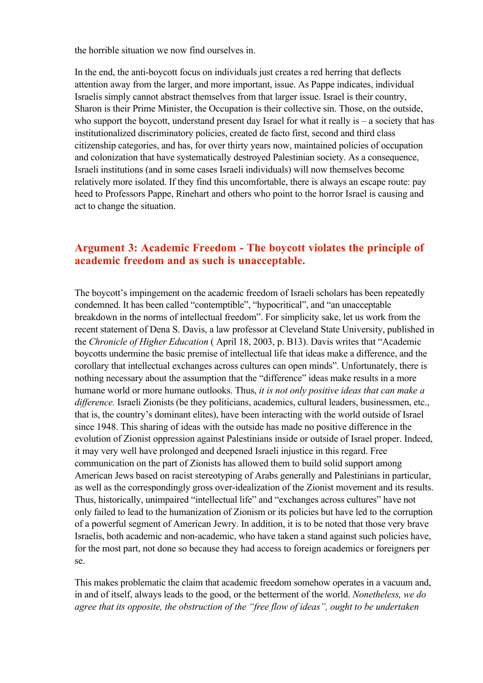the horrible situation we now find ourselves in.

In the end, the anti-boycott focus on individuals just creates a red herring that deflects attention away from the larger, and more important, issue. As Pappe indicates, individual Israelis simply cannot abstract themselves from that larger issue. Israel is their country, Sharon is their Prime Minister, the Occupation is their collective sin. Those, on the outside, who support the boycott, understand present day Israel for what it really is  $-$  a society that has institutionalized discriminatory policies, created de facto first, second and third class citizenship categories, and has, for over thirty years now, maintained policies of occupation and colonization that have systematically destroyed Palestinian society. As a consequence, Israeli institutions (and in some cases Israeli individuals) will now themselves become relatively more isolated. If they find this uncomfortable, there is always an escape route: pay heed to Professors Pappe, Rinehart and others who point to the horror Israel is causing and act to change the situation.

#### Argument 3: Academic Freedom - The boycott violates the principle of academic freedom and as such is unacceptable.

The boycott's impingement on the academic freedom of Israeli scholars has been repeatedly condemned. It has been called "contemptible", "hypocritical", and "an unacceptable breakdown in the norms of intellectual freedom". For simplicity sake, let us work from the recent statement of Dena S. Davis, a law professor at Cleveland State University, published in the *Chronicle of Higher Education* ( April 18, 2003, p. B13). Davis writes that "Academic boycotts undermine the basic premise of intellectual life that ideas make a difference, and the corollary that intellectual exchanges across cultures can open minds". Unfortunately, there is nothing necessary about the assumption that the "difference" ideas make results in a more humane world or more humane outlooks. Thus, *it is not only positive ideas that can make a difference.* Israeli Zionists (be they politicians, academics, cultural leaders, businessmen, etc., that is, the country's dominant elites), have been interacting with the world outside of Israel since 1948. This sharing of ideas with the outside has made no positive difference in the evolution of Zionist oppression against Palestinians inside or outside of Israel proper. Indeed, it may very well have prolonged and deepened Israeli injustice in this regard. Free communication on the part of Zionists has allowed them to build solid support among American Jews based on racist stereotyping of Arabs generally and Palestinians in particular, as well as the correspondingly gross over-idealization of the Zionist movement and its results. Thus, historically, unimpaired "intellectual life" and "exchanges across cultures" have not only failed to lead to the humanization of Zionism or its policies but have led to the corruption of a powerful segment of American Jewry. In addition, it is to be noted that those very brave Israelis, both academic and non-academic, who have taken a stand against such policies have, for the most part, not done so because they had access to foreign academics or foreigners per se.

This makes problematic the claim that academic freedom somehow operates in a vacuum and, in and of itself, always leads to the good, or the betterment of the world. *Nonetheless, we do agree that its opposite, the obstruction of the "free flow of ideas", ought to be undertaken*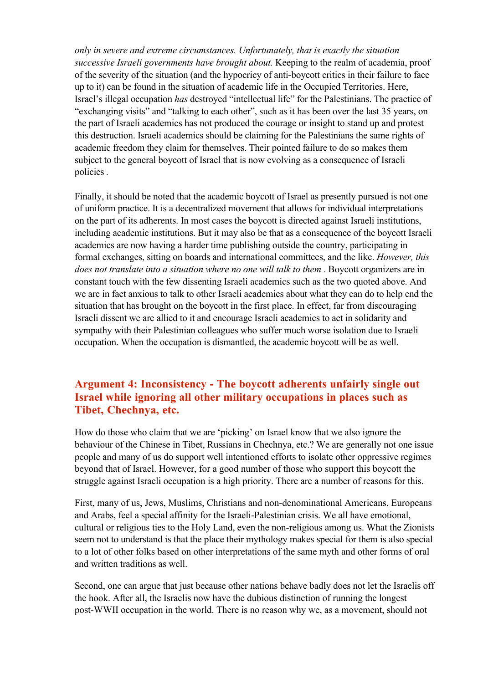*only in severe and extreme circumstances. Unfortunately, that is exactly the situation successive Israeli governments have brought about.* Keeping to the realm of academia, proof of the severity of the situation (and the hypocricy of anti-boycott critics in their failure to face up to it) can be found in the situation of academic life in the Occupied Territories. Here, Israel's illegal occupation *has* destroyed "intellectual life" for the Palestinians. The practice of "exchanging visits" and "talking to each other", such as it has been over the last 35 years, on the part of Israeli academics has not produced the courage or insight to stand up and protest this destruction. Israeli academics should be claiming for the Palestinians the same rights of academic freedom they claim for themselves. Their pointed failure to do so makes them subject to the general boycott of Israel that is now evolving as a consequence of Israeli policies *.* 

Finally, it should be noted that the academic boycott of Israel as presently pursued is not one of uniform practice. It is a decentralized movement that allows for individual interpretations on the part of its adherents. In most cases the boycott is directed against Israeli institutions, including academic institutions. But it may also be that as a consequence of the boycott Israeli academics are now having a harder time publishing outside the country, participating in formal exchanges, sitting on boards and international committees, and the like. *However, this does not translate into a situation where no one will talk to them* . Boycott organizers are in constant touch with the few dissenting Israeli academics such as the two quoted above. And we are in fact anxious to talk to other Israeli academics about what they can do to help end the situation that has brought on the boycott in the first place. In effect, far from discouraging Israeli dissent we are allied to it and encourage Israeli academics to act in solidarity and sympathy with their Palestinian colleagues who suffer much worse isolation due to Israeli occupation. When the occupation is dismantled, the academic boycott will be as well.

#### Argument 4: Inconsistency - The boycott adherents unfairly single out Israel while ignoring all other military occupations in places such as Tibet, Chechnya, etc.

How do those who claim that we are 'picking' on Israel know that we also ignore the behaviour of the Chinese in Tibet, Russians in Chechnya, etc.? We are generally not one issue people and many of us do support well intentioned efforts to isolate other oppressive regimes beyond that of Israel. However, for a good number of those who support this boycott the struggle against Israeli occupation is a high priority. There are a number of reasons for this.

First, many of us, Jews, Muslims, Christians and non-denominational Americans, Europeans and Arabs, feel a special affinity for the Israeli-Palestinian crisis. We all have emotional, cultural or religious ties to the Holy Land, even the non-religious among us. What the Zionists seem not to understand is that the place their mythology makes special for them is also special to a lot of other folks based on other interpretations of the same myth and other forms of oral and written traditions as well.

Second, one can argue that just because other nations behave badly does not let the Israelis off the hook. After all, the Israelis now have the dubious distinction of running the longest post-WWII occupation in the world. There is no reason why we, as a movement, should not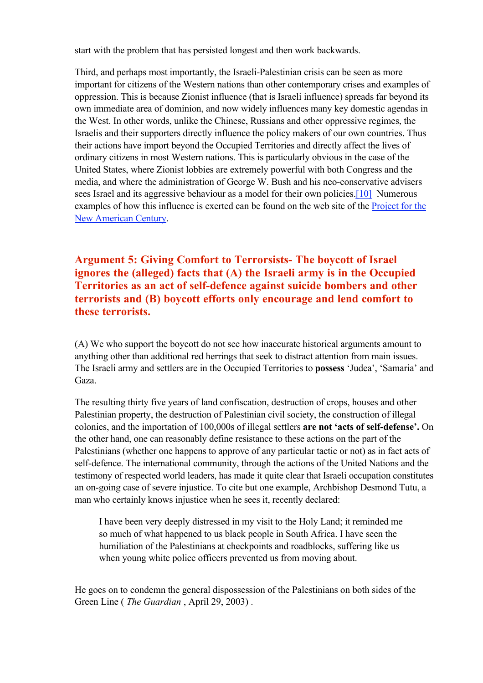start with the problem that has persisted longest and then work backwards.

Third, and perhaps most importantly, the Israeli-Palestinian crisis can be seen as more important for citizens of the Western nations than other contemporary crises and examples of oppression. This is because Zionist influence (that is Israeli influence) spreads far beyond its own immediate area of dominion, and now widely influences many key domestic agendas in the West. In other words, unlike the Chinese, Russians and other oppressive regimes, the Israelis and their supporters directly influence the policy makers of our own countries. Thus their actions have import beyond the Occupied Territories and directly affect the lives of ordinary citizens in most Western nations. This is particularly obvious in the case of the United States, where Zionist lobbies are extremely powerful with both Congress and the media, and where the administration of George W. Bush and his neo-conservative advisers sees Israel and its aggressive behaviour as a model for their own policies.[10] Numerous examples of how this influence is exerted can be found on the web site of the **Project** for the New American Century.

Argument 5: Giving Comfort to Terrorsists- The boycott of Israel ignores the (alleged) facts that (A) the Israeli army is in the Occupied Territories as an act of self-defence against suicide bombers and other terrorists and (B) boycott efforts only encourage and lend comfort to these terrorists.

(A) We who support the boycott do not see how inaccurate historical arguments amount to anything other than additional red herrings that seek to distract attention from main issues. The Israeli army and settlers are in the Occupied Territories to possess 'Judea', 'Samaria' and Gaza.

The resulting thirty five years of land confiscation, destruction of crops, houses and other Palestinian property, the destruction of Palestinian civil society, the construction of illegal colonies, and the importation of 100,000s of illegal settlers are not 'acts of self-defense'. On the other hand, one can reasonably define resistance to these actions on the part of the Palestinians (whether one happens to approve of any particular tactic or not) as in fact acts of self-defence. The international community, through the actions of the United Nations and the testimony of respected world leaders, has made it quite clear that Israeli occupation constitutes an on-going case of severe injustice. To cite but one example, Archbishop Desmond Tutu, a man who certainly knows injustice when he sees it, recently declared:

I have been very deeply distressed in my visit to the Holy Land; it reminded me so much of what happened to us black people in South Africa. I have seen the humiliation of the Palestinians at checkpoints and roadblocks, suffering like us when young white police officers prevented us from moving about.

He goes on to condemn the general dispossession of the Palestinians on both sides of the Green Line ( *The Guardian* , April 29, 2003) .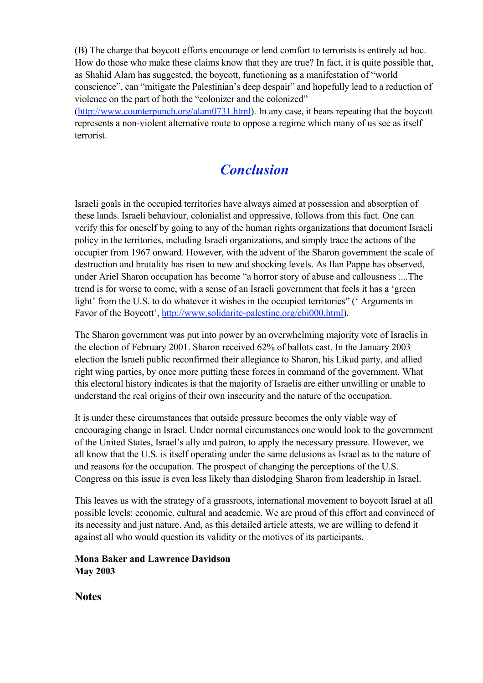(B) The charge that boycott efforts encourage or lend comfort to terrorists is entirely ad hoc. How do those who make these claims know that they are true? In fact, it is quite possible that, as Shahid Alam has suggested, the boycott, functioning as a manifestation of "world conscience", can "mitigate the Palestinian's deep despair" and hopefully lead to a reduction of violence on the part of both the "colonizer and the colonized" (http://www.counterpunch.org/alam0731.html). In any case, it bears repeating that the boycott represents a non-violent alternative route to oppose a regime which many of us see as itself terrorist.

## *Conclusion*

Israeli goals in the occupied territories have always aimed at possession and absorption of these lands. Israeli behaviour, colonialist and oppressive, follows from this fact. One can verify this for oneself by going to any of the human rights organizations that document Israeli policy in the territories, including Israeli organizations, and simply trace the actions of the occupier from 1967 onward. However, with the advent of the Sharon government the scale of destruction and brutality has risen to new and shocking levels. As Ilan Pappe has observed, under Ariel Sharon occupation has become "a horror story of abuse and callousness ....The trend is for worse to come, with a sense of an Israeli government that feels it has a 'green light' from the U.S. to do whatever it wishes in the occupied territories" (' Arguments in Favor of the Boycott', http://www.solidarite-palestine.org/cbi000.html).

The Sharon government was put into power by an overwhelming majority vote of Israelis in the election of February 2001. Sharon received 62% of ballots cast. In the January 2003 election the Israeli public reconfirmed their allegiance to Sharon, his Likud party, and allied right wing parties, by once more putting these forces in command of the government. What this electoral history indicates is that the majority of Israelis are either unwilling or unable to understand the real origins of their own insecurity and the nature of the occupation.

It is under these circumstances that outside pressure becomes the only viable way of encouraging change in Israel. Under normal circumstances one would look to the government of the United States, Israel's ally and patron, to apply the necessary pressure. However, we all know that the U.S. is itself operating under the same delusions as Israel as to the nature of and reasons for the occupation. The prospect of changing the perceptions of the U.S. Congress on this issue is even less likely than dislodging Sharon from leadership in Israel.

This leaves us with the strategy of a grassroots, international movement to boycott Israel at all possible levels: economic, cultural and academic. We are proud of this effort and convinced of its necessity and just nature. And, as this detailed article attests, we are willing to defend it against all who would question its validity or the motives of its participants.

Mona Baker and Lawrence Davidson May 2003

**Notes**